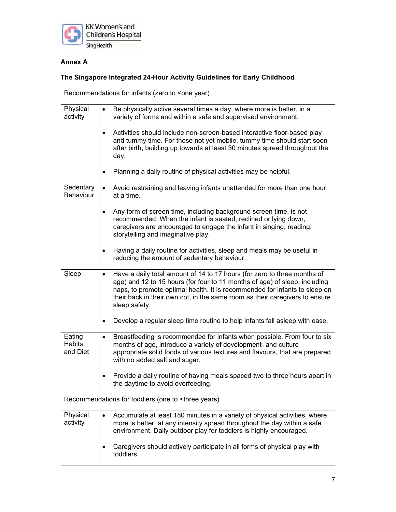

## **Annex A**

## **The Singapore Integrated 24-Hour Activity Guidelines for Early Childhood**

| Recommendations for infants (zero to <one th="" year)<=""></one> |                                                                                                                                                                                                                                                                                                                                                   |  |
|------------------------------------------------------------------|---------------------------------------------------------------------------------------------------------------------------------------------------------------------------------------------------------------------------------------------------------------------------------------------------------------------------------------------------|--|
| Physical<br>activity                                             | Be physically active several times a day, where more is better, in a<br>$\bullet$<br>variety of forms and within a safe and supervised environment.                                                                                                                                                                                               |  |
|                                                                  | Activities should include non-screen-based interactive floor-based play<br>$\bullet$<br>and tummy time. For those not yet mobile, tummy time should start soon<br>after birth, building up towards at least 30 minutes spread throughout the<br>day.                                                                                              |  |
|                                                                  | Planning a daily routine of physical activities may be helpful.<br>$\bullet$                                                                                                                                                                                                                                                                      |  |
| Sedentary<br>Behaviour                                           | Avoid restraining and leaving infants unattended for more than one hour<br>$\bullet$<br>at a time.                                                                                                                                                                                                                                                |  |
|                                                                  | Any form of screen time, including background screen time, is not<br>٠<br>recommended. When the infant is seated, reclined or lying down,<br>caregivers are encouraged to engage the infant in singing, reading,<br>storytelling and imaginative play.                                                                                            |  |
|                                                                  | Having a daily routine for activities, sleep and meals may be useful in<br>$\bullet$<br>reducing the amount of sedentary behaviour.                                                                                                                                                                                                               |  |
| Sleep                                                            | Have a daily total amount of 14 to 17 hours (for zero to three months of<br>$\bullet$<br>age) and 12 to 15 hours (for four to 11 months of age) of sleep, including<br>naps, to promote optimal health. It is recommended for infants to sleep on<br>their back in their own cot, in the same room as their caregivers to ensure<br>sleep safety. |  |
|                                                                  | Develop a regular sleep time routine to help infants fall asleep with ease.<br>٠                                                                                                                                                                                                                                                                  |  |
| Eating<br><b>Habits</b><br>and Diet                              | Breastfeeding is recommended for infants when possible. From four to six<br>٠<br>months of age, introduce a variety of development- and culture<br>appropriate solid foods of various textures and flavours, that are prepared<br>with no added salt and sugar.<br>Provide a daily routine of having meals spaced two to three hours apart in     |  |
|                                                                  | the daytime to avoid overfeeding.                                                                                                                                                                                                                                                                                                                 |  |
|                                                                  | Recommendations for toddlers (one to <three td="" years)<=""></three>                                                                                                                                                                                                                                                                             |  |
| Physical<br>activity                                             | Accumulate at least 180 minutes in a variety of physical activities, where<br>more is better, at any intensity spread throughout the day within a safe<br>environment. Daily outdoor play for toddlers is highly encouraged.                                                                                                                      |  |
|                                                                  | Caregivers should actively participate in all forms of physical play with<br>toddlers.                                                                                                                                                                                                                                                            |  |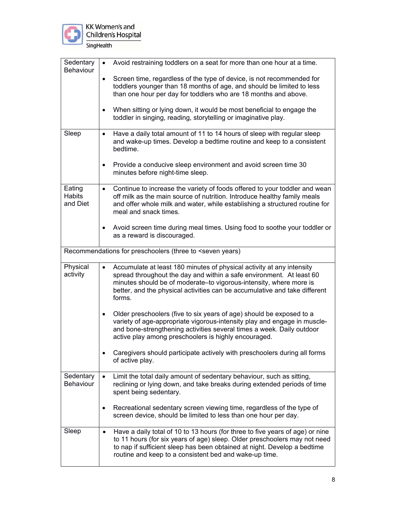

KK Women's and<br>Children's Hospital SingHealth

| Sedentary<br>Behaviour       | $\bullet$ | Avoid restraining toddlers on a seat for more than one hour at a time.                                                                                                                                                                                                                                      |
|------------------------------|-----------|-------------------------------------------------------------------------------------------------------------------------------------------------------------------------------------------------------------------------------------------------------------------------------------------------------------|
|                              | $\bullet$ | Screen time, regardless of the type of device, is not recommended for<br>toddlers younger than 18 months of age, and should be limited to less<br>than one hour per day for toddlers who are 18 months and above.                                                                                           |
|                              | $\bullet$ | When sitting or lying down, it would be most beneficial to engage the<br>toddler in singing, reading, storytelling or imaginative play.                                                                                                                                                                     |
| Sleep                        | $\bullet$ | Have a daily total amount of 11 to 14 hours of sleep with regular sleep<br>and wake-up times. Develop a bedtime routine and keep to a consistent<br>bedtime.                                                                                                                                                |
|                              | $\bullet$ | Provide a conducive sleep environment and avoid screen time 30<br>minutes before night-time sleep.                                                                                                                                                                                                          |
| Eating<br>Habits<br>and Diet | $\bullet$ | Continue to increase the variety of foods offered to your toddler and wean<br>off milk as the main source of nutrition. Introduce healthy family meals<br>and offer whole milk and water, while establishing a structured routine for<br>meal and snack times.                                              |
|                              | $\bullet$ | Avoid screen time during meal times. Using food to soothe your toddler or<br>as a reward is discouraged.                                                                                                                                                                                                    |
|                              |           | Recommendations for preschoolers (three to <seven td="" years)<=""></seven>                                                                                                                                                                                                                                 |
| Physical<br>activity         | $\bullet$ | Accumulate at least 180 minutes of physical activity at any intensity<br>spread throughout the day and within a safe environment. At least 60<br>minutes should be of moderate-to vigorous-intensity, where more is<br>better, and the physical activities can be accumulative and take different<br>forms. |
|                              | $\bullet$ | Older preschoolers (five to six years of age) should be exposed to a<br>variety of age-appropriate vigorous-intensity play and engage in muscle-<br>and bone-strengthening activities several times a week. Daily outdoor<br>active play among preschoolers is highly encouraged.                           |
|                              |           | Caregivers should participate actively with preschoolers during all forms<br>of active play.                                                                                                                                                                                                                |
| Sedentary<br>Behaviour       |           | Limit the total daily amount of sedentary behaviour, such as sitting,<br>reclining or lying down, and take breaks during extended periods of time<br>spent being sedentary.                                                                                                                                 |
|                              |           | Recreational sedentary screen viewing time, regardless of the type of<br>screen device, should be limited to less than one hour per day.                                                                                                                                                                    |
| Sleep                        | $\bullet$ | Have a daily total of 10 to 13 hours (for three to five years of age) or nine<br>to 11 hours (for six years of age) sleep. Older preschoolers may not need<br>to nap if sufficient sleep has been obtained at night. Develop a bedtime<br>routine and keep to a consistent bed and wake-up time.            |